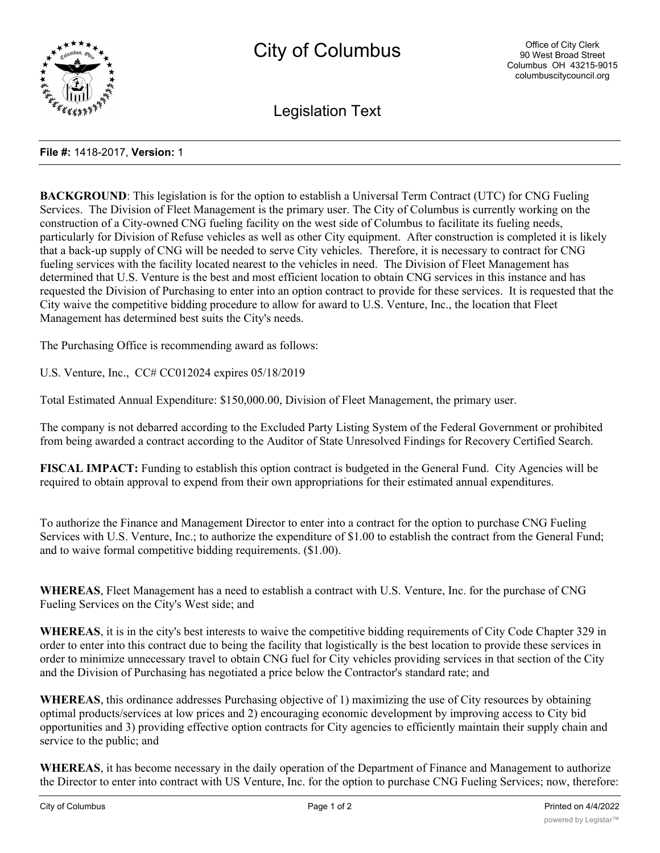

Legislation Text

## **File #:** 1418-2017, **Version:** 1

**BACKGROUND**: This legislation is for the option to establish a Universal Term Contract (UTC) for CNG Fueling Services. The Division of Fleet Management is the primary user. The City of Columbus is currently working on the construction of a City-owned CNG fueling facility on the west side of Columbus to facilitate its fueling needs, particularly for Division of Refuse vehicles as well as other City equipment. After construction is completed it is likely that a back-up supply of CNG will be needed to serve City vehicles. Therefore, it is necessary to contract for CNG fueling services with the facility located nearest to the vehicles in need. The Division of Fleet Management has determined that U.S. Venture is the best and most efficient location to obtain CNG services in this instance and has requested the Division of Purchasing to enter into an option contract to provide for these services. It is requested that the City waive the competitive bidding procedure to allow for award to U.S. Venture, Inc., the location that Fleet Management has determined best suits the City's needs.

The Purchasing Office is recommending award as follows:

U.S. Venture, Inc., CC# CC012024 expires 05/18/2019

Total Estimated Annual Expenditure: \$150,000.00, Division of Fleet Management, the primary user.

The company is not debarred according to the Excluded Party Listing System of the Federal Government or prohibited from being awarded a contract according to the Auditor of State Unresolved Findings for Recovery Certified Search.

**FISCAL IMPACT:** Funding to establish this option contract is budgeted in the General Fund. City Agencies will be required to obtain approval to expend from their own appropriations for their estimated annual expenditures.

To authorize the Finance and Management Director to enter into a contract for the option to purchase CNG Fueling Services with U.S. Venture, Inc.; to authorize the expenditure of \$1.00 to establish the contract from the General Fund; and to waive formal competitive bidding requirements. (\$1.00).

**WHEREAS**, Fleet Management has a need to establish a contract with U.S. Venture, Inc. for the purchase of CNG Fueling Services on the City's West side; and

**WHEREAS**, it is in the city's best interests to waive the competitive bidding requirements of City Code Chapter 329 in order to enter into this contract due to being the facility that logistically is the best location to provide these services in order to minimize unnecessary travel to obtain CNG fuel for City vehicles providing services in that section of the City and the Division of Purchasing has negotiated a price below the Contractor's standard rate; and

**WHEREAS**, this ordinance addresses Purchasing objective of 1) maximizing the use of City resources by obtaining optimal products/services at low prices and 2) encouraging economic development by improving access to City bid opportunities and 3) providing effective option contracts for City agencies to efficiently maintain their supply chain and service to the public; and

**WHEREAS**, it has become necessary in the daily operation of the Department of Finance and Management to authorize the Director to enter into contract with US Venture, Inc. for the option to purchase CNG Fueling Services; now, therefore: